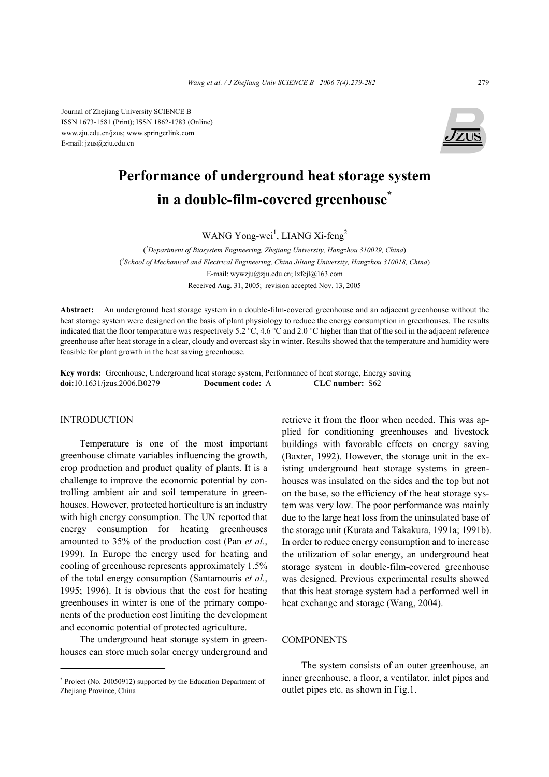Journal of Zhejiang University SCIENCE B ISSN 1673-1581 (Print); ISSN 1862-1783 (Online) www.zju.edu.cn/jzus; www.springerlink.com E-mail: jzus@zju.edu.cn



# **Performance of underground heat storage system in a double-film-covered greenhouse\***

WANG Yong-wei<sup>1</sup>, LIANG Xi-feng<sup>2</sup>

( *1 Department of Biosystem Engineering, Zhejiang University, Hangzhou 310029, China*) ( *2 School of Mechanical and Electrical Engineering, China Jiliang University, Hangzhou 310018, China*) E-mail: wywzju@zju.edu.cn; lxfcjl@163.com Received Aug. 31, 2005; revision accepted Nov. 13, 2005

**Abstract:** An underground heat storage system in a double-film-covered greenhouse and an adjacent greenhouse without the heat storage system were designed on the basis of plant physiology to reduce the energy consumption in greenhouses. The results indicated that the floor temperature was respectively 5.2 °C, 4.6 °C and 2.0 °C higher than that of the soil in the adjacent reference greenhouse after heat storage in a clear, cloudy and overcast sky in winter. Results showed that the temperature and humidity were feasible for plant growth in the heat saving greenhouse.

**Key words:** Greenhouse, Underground heat storage system, Performance of heat storage, Energy saving **doi:**10.1631/jzus.2006.B0279 **Document code:** A **CLC number:** S62

#### INTRODUCTION

Temperature is one of the most important greenhouse climate variables influencing the growth, crop production and product quality of plants. It is a challenge to improve the economic potential by controlling ambient air and soil temperature in greenhouses. However, protected horticulture is an industry with high energy consumption. The UN reported that energy consumption for heating greenhouses amounted to 35% of the production cost (Pan *et al*., 1999). In Europe the energy used for heating and cooling of greenhouse represents approximately 1.5% of the total energy consumption (Santamouris *et al*., 1995; 1996). It is obvious that the cost for heating greenhouses in winter is one of the primary components of the production cost limiting the development and economic potential of protected agriculture.

The underground heat storage system in greenhouses can store much solar energy underground and retrieve it from the floor when needed. This was applied for conditioning greenhouses and livestock buildings with favorable effects on energy saving (Baxter, 1992). However, the storage unit in the existing underground heat storage systems in greenhouses was insulated on the sides and the top but not on the base, so the efficiency of the heat storage system was very low. The poor performance was mainly due to the large heat loss from the uninsulated base of the storage unit (Kurata and Takakura, 1991a; 1991b). In order to reduce energy consumption and to increase the utilization of solar energy, an underground heat storage system in double-film-covered greenhouse was designed. Previous experimental results showed that this heat storage system had a performed well in heat exchange and storage (Wang, 2004).

## **COMPONENTS**

The system consists of an outer greenhouse, an inner greenhouse, a floor, a ventilator, inlet pipes and outlet pipes etc. as shown in Fig.1.

<sup>\*</sup> Project (No. 20050912) supported by the Education Department of Zhejiang Province, China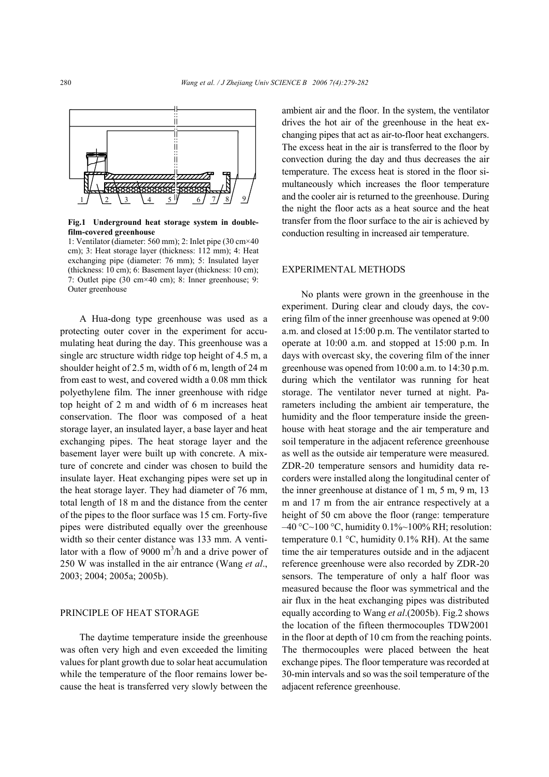

**Fig.1 Underground heat storage system in doublefilm-covered greenhouse** 

1: Ventilator (diameter: 560 mm); 2: Inlet pipe (30 cm×40 cm); 3: Heat storage layer (thickness: 112 mm); 4: Heat exchanging pipe (diameter: 76 mm); 5: Insulated layer (thickness: 10 cm); 6: Basement layer (thickness: 10 cm); 7: Outlet pipe (30 cm×40 cm); 8: Inner greenhouse; 9: Outer greenhouse

A Hua-dong type greenhouse was used as a protecting outer cover in the experiment for accumulating heat during the day. This greenhouse was a single arc structure width ridge top height of 4.5 m, a shoulder height of 2.5 m, width of 6 m, length of 24 m from east to west, and covered width a 0.08 mm thick polyethylene film. The inner greenhouse with ridge top height of 2 m and width of 6 m increases heat conservation. The floor was composed of a heat storage layer, an insulated layer, a base layer and heat exchanging pipes. The heat storage layer and the basement layer were built up with concrete. A mixture of concrete and cinder was chosen to build the insulate layer. Heat exchanging pipes were set up in the heat storage layer. They had diameter of 76 mm, total length of 18 m and the distance from the center of the pipes to the floor surface was 15 cm. Forty-five pipes were distributed equally over the greenhouse width so their center distance was 133 mm. A ventilator with a flow of 9000  $m^3/h$  and a drive power of 250 W was installed in the air entrance (Wang *et al*., 2003; 2004; 2005a; 2005b).

### PRINCIPLE OF HEAT STORAGE

The daytime temperature inside the greenhouse was often very high and even exceeded the limiting values for plant growth due to solar heat accumulation while the temperature of the floor remains lower because the heat is transferred very slowly between the

ambient air and the floor. In the system, the ventilator drives the hot air of the greenhouse in the heat exchanging pipes that act as air-to-floor heat exchangers. The excess heat in the air is transferred to the floor by convection during the day and thus decreases the air temperature. The excess heat is stored in the floor simultaneously which increases the floor temperature and the cooler air is returned to the greenhouse. During the night the floor acts as a heat source and the heat transfer from the floor surface to the air is achieved by conduction resulting in increased air temperature.

## EXPERIMENTAL METHODS

No plants were grown in the greenhouse in the experiment. During clear and cloudy days, the covering film of the inner greenhouse was opened at 9:00 a.m. and closed at 15:00 p.m. The ventilator started to operate at 10:00 a.m. and stopped at 15:00 p.m. In days with overcast sky, the covering film of the inner greenhouse was opened from 10:00 a.m. to 14:30 p.m. during which the ventilator was running for heat storage. The ventilator never turned at night. Parameters including the ambient air temperature, the humidity and the floor temperature inside the greenhouse with heat storage and the air temperature and soil temperature in the adjacent reference greenhouse as well as the outside air temperature were measured. ZDR-20 temperature sensors and humidity data recorders were installed along the longitudinal center of the inner greenhouse at distance of 1 m, 5 m, 9 m, 13 m and 17 m from the air entrance respectively at a height of 50 cm above the floor (range: temperature  $-40$  °C $\sim$ 100 °C, humidity 0.1% $\sim$ 100% RH; resolution: temperature 0.1 °C, humidity 0.1% RH). At the same time the air temperatures outside and in the adjacent reference greenhouse were also recorded by ZDR-20 sensors. The temperature of only a half floor was measured because the floor was symmetrical and the air flux in the heat exchanging pipes was distributed equally according to Wang *et al*.(2005b). Fig.2 shows the location of the fifteen thermocouples TDW2001 in the floor at depth of 10 cm from the reaching points. The thermocouples were placed between the heat exchange pipes. The floor temperature was recorded at 30-min intervals and so was the soil temperature of the adjacent reference greenhouse.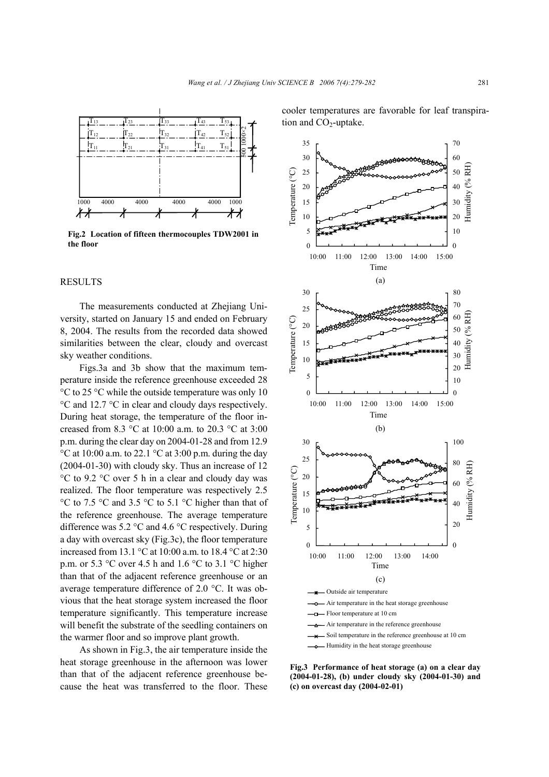

**Fig.2 Location of fifteen thermocouples TDW2001 in the floor** 0

## **RESULTS**

The measurements conducted at Zhejiang University, started on January 15 and ended on February 8, 2004. The results from the recorded data showed similarities between the clear, cloudy and overcast sky weather conditions.

Figs.3a and 3b show that the maximum temperature inside the reference greenhouse exceeded 28 °C to 25 °C while the outside temperature was only 10 °C and 12.7 °C in clear and cloudy days respectively. During heat storage, the temperature of the floor increased from 8.3 °C at 10:00 a.m. to 20.3 °C at 3:00 p.m. during the clear day on 2004-01-28 and from 12.9  $\degree$ C at 10:00 a.m. to 22.1  $\degree$ C at 3:00 p.m. during the day (2004-01-30) with cloudy sky. Thus an increase of 12 °C to 9.2 °C over 5 h in a clear and cloudy day was realized. The floor temperature was respectively 2.5 °C to 7.5 °C and 3.5 °C to 5.1 °C higher than that of the reference greenhouse. The average temperature difference was 5.2 °C and 4.6 °C respectively. During a day with overcast sky (Fig.3c), the floor temperature increased from 13.1 °C at 10:00 a.m. to 18.4 °C at 2:30 p.m. or 5.3  $\degree$ C over 4.5 h and 1.6  $\degree$ C to 3.1  $\degree$ C higher than that of the adjacent reference greenhouse or an average temperature difference of 2.0 °C. It was obvious that the heat storage system increased the floor temperature significantly. This temperature increase will benefit the substrate of the seedling containers on the warmer floor and so improve plant growth.

As shown in Fig.3, the air temperature inside the heat storage greenhouse in the afternoon was lower than that of the adjacent reference greenhouse because the heat was transferred to the floor. These

cooler temperatures are favorable for leaf transpiration and  $CO<sub>2</sub>$ -uptake.



**Fig.3 Performance of heat storage (a) on a clear day (2004-01-28), (b) under cloudy sky (2004-01-30) and (c) on overcast day (2004-02-01)**